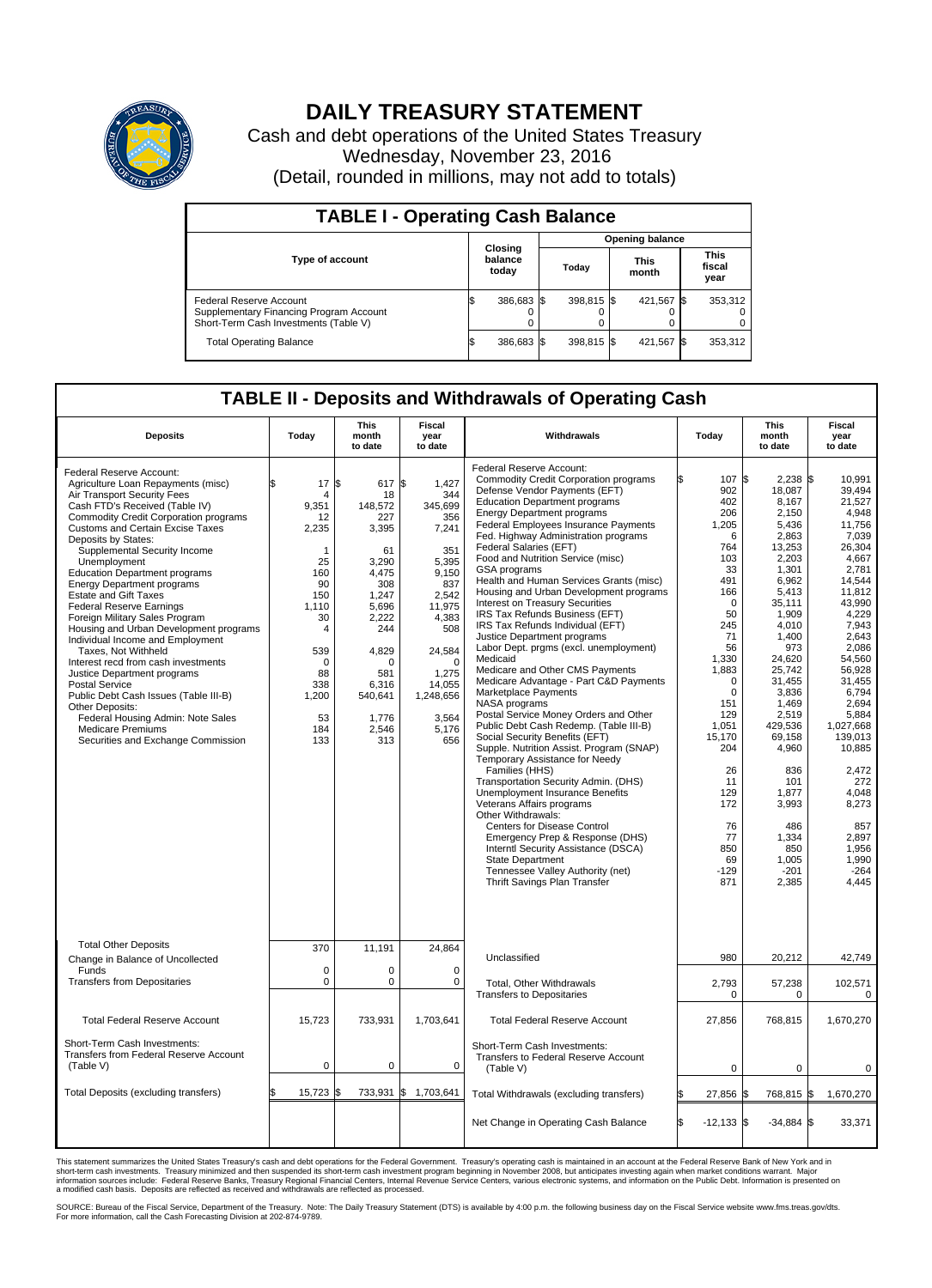

## **DAILY TREASURY STATEMENT**

Cash and debt operations of the United States Treasury Wednesday, November 23, 2016 (Detail, rounded in millions, may not add to totals)

| <b>TABLE I - Operating Cash Balance</b>                                                                            |  |                             |  |                        |  |                      |  |                               |  |  |  |
|--------------------------------------------------------------------------------------------------------------------|--|-----------------------------|--|------------------------|--|----------------------|--|-------------------------------|--|--|--|
|                                                                                                                    |  | Closing<br>balance<br>today |  | <b>Opening balance</b> |  |                      |  |                               |  |  |  |
| <b>Type of account</b>                                                                                             |  |                             |  | Today                  |  | <b>This</b><br>month |  | <b>This</b><br>fiscal<br>year |  |  |  |
| <b>Federal Reserve Account</b><br>Supplementary Financing Program Account<br>Short-Term Cash Investments (Table V) |  | 386,683 \$                  |  | 398.815 \$             |  | 421.567 \$           |  | 353,312                       |  |  |  |
| <b>Total Operating Balance</b>                                                                                     |  | 386,683 \$                  |  | 398.815 \$             |  | 421,567 \$           |  | 353,312                       |  |  |  |

## **TABLE II - Deposits and Withdrawals of Operating Cash**

| <b>Deposits</b>                                                                                                                                                                                                                                                                                                                                                                                                                                                                                                                                                                                                                                                                                                                                                                                                                                     | Today                                                                                                                                                            | <b>This</b><br>month<br>to date                                                                                                                                                         | <b>Fiscal</b><br>year<br>to date                                                                                                                                                          | Withdrawals                                                                                                                                                                                                                                                                                                                                                                                                                                                                                                                                                                                                                                                                                                                                                                                                                                                                                                                                                                                                                                                                                                                                                                                                                                                                                                                      | Today                                                                                                                                                                                                                                                                           | <b>This</b><br>month<br>to date                                                                                                                                                                                                                                                                                              | <b>Fiscal</b><br>year<br>to date                                                                                                                                                                                                                                                                                                       |
|-----------------------------------------------------------------------------------------------------------------------------------------------------------------------------------------------------------------------------------------------------------------------------------------------------------------------------------------------------------------------------------------------------------------------------------------------------------------------------------------------------------------------------------------------------------------------------------------------------------------------------------------------------------------------------------------------------------------------------------------------------------------------------------------------------------------------------------------------------|------------------------------------------------------------------------------------------------------------------------------------------------------------------|-----------------------------------------------------------------------------------------------------------------------------------------------------------------------------------------|-------------------------------------------------------------------------------------------------------------------------------------------------------------------------------------------|----------------------------------------------------------------------------------------------------------------------------------------------------------------------------------------------------------------------------------------------------------------------------------------------------------------------------------------------------------------------------------------------------------------------------------------------------------------------------------------------------------------------------------------------------------------------------------------------------------------------------------------------------------------------------------------------------------------------------------------------------------------------------------------------------------------------------------------------------------------------------------------------------------------------------------------------------------------------------------------------------------------------------------------------------------------------------------------------------------------------------------------------------------------------------------------------------------------------------------------------------------------------------------------------------------------------------------|---------------------------------------------------------------------------------------------------------------------------------------------------------------------------------------------------------------------------------------------------------------------------------|------------------------------------------------------------------------------------------------------------------------------------------------------------------------------------------------------------------------------------------------------------------------------------------------------------------------------|----------------------------------------------------------------------------------------------------------------------------------------------------------------------------------------------------------------------------------------------------------------------------------------------------------------------------------------|
| Federal Reserve Account:<br>Agriculture Loan Repayments (misc)<br>Air Transport Security Fees<br>Cash FTD's Received (Table IV)<br><b>Commodity Credit Corporation programs</b><br>Customs and Certain Excise Taxes<br>Deposits by States:<br>Supplemental Security Income<br>Unemployment<br><b>Education Department programs</b><br><b>Energy Department programs</b><br><b>Estate and Gift Taxes</b><br><b>Federal Reserve Earnings</b><br>Foreign Military Sales Program<br>Housing and Urban Development programs<br>Individual Income and Employment<br>Taxes, Not Withheld<br>Interest recd from cash investments<br>Justice Department programs<br><b>Postal Service</b><br>Public Debt Cash Issues (Table III-B)<br>Other Deposits:<br>Federal Housing Admin: Note Sales<br><b>Medicare Premiums</b><br>Securities and Exchange Commission | 17<br>\$<br>4<br>9,351<br>12<br>2,235<br>$\mathbf{1}$<br>25<br>160<br>90<br>150<br>1,110<br>30<br>4<br>539<br>$\Omega$<br>88<br>338<br>1,200<br>53<br>184<br>133 | \$<br>617 \$<br>18<br>148,572<br>227<br>3,395<br>61<br>3,290<br>4,475<br>308<br>1.247<br>5,696<br>2,222<br>244<br>4,829<br>$\Omega$<br>581<br>6,316<br>540,641<br>1,776<br>2,546<br>313 | 1,427<br>344<br>345,699<br>356<br>7,241<br>351<br>5,395<br>9,150<br>837<br>2.542<br>11,975<br>4,383<br>508<br>24,584<br>$\Omega$<br>1,275<br>14,055<br>1,248,656<br>3,564<br>5,176<br>656 | Federal Reserve Account:<br><b>Commodity Credit Corporation programs</b><br>Defense Vendor Payments (EFT)<br><b>Education Department programs</b><br><b>Energy Department programs</b><br><b>Federal Employees Insurance Payments</b><br>Fed. Highway Administration programs<br>Federal Salaries (EFT)<br>Food and Nutrition Service (misc)<br>GSA programs<br>Health and Human Services Grants (misc)<br>Housing and Urban Development programs<br>Interest on Treasury Securities<br>IRS Tax Refunds Business (EFT)<br>IRS Tax Refunds Individual (EFT)<br>Justice Department programs<br>Labor Dept. prgms (excl. unemployment)<br>Medicaid<br>Medicare and Other CMS Payments<br>Medicare Advantage - Part C&D Payments<br>Marketplace Payments<br>NASA programs<br>Postal Service Money Orders and Other<br>Public Debt Cash Redemp. (Table III-B)<br>Social Security Benefits (EFT)<br>Supple. Nutrition Assist. Program (SNAP)<br>Temporary Assistance for Needy<br>Families (HHS)<br>Transportation Security Admin. (DHS)<br>Unemployment Insurance Benefits<br>Veterans Affairs programs<br>Other Withdrawals:<br><b>Centers for Disease Control</b><br>Emergency Prep & Response (DHS)<br>Interntl Security Assistance (DSCA)<br>State Department<br>Tennessee Valley Authority (net)<br>Thrift Savings Plan Transfer | 107 \$<br>902<br>402<br>206<br>1,205<br>6<br>764<br>103<br>33<br>491<br>166<br>$\mathbf 0$<br>50<br>245<br>71<br>56<br>1,330<br>1,883<br>$\mathbf 0$<br>$\mathbf 0$<br>151<br>129<br>1,051<br>15,170<br>204<br>26<br>11<br>129<br>172<br>76<br>77<br>850<br>69<br>$-129$<br>871 | $2,238$ \$<br>18,087<br>8,167<br>2,150<br>5.436<br>2,863<br>13,253<br>2,203<br>1,301<br>6,962<br>5,413<br>35,111<br>1,909<br>4,010<br>1.400<br>973<br>24,620<br>25,742<br>31,455<br>3,836<br>1.469<br>2,519<br>429,536<br>69,158<br>4,960<br>836<br>101<br>1,877<br>3,993<br>486<br>1,334<br>850<br>1,005<br>$-201$<br>2,385 | 10.991<br>39,494<br>21,527<br>4,948<br>11,756<br>7,039<br>26,304<br>4,667<br>2.781<br>14,544<br>11,812<br>43.990<br>4,229<br>7,943<br>2,643<br>2.086<br>54,560<br>56,928<br>31.455<br>6,794<br>2.694<br>5,884<br>1,027,668<br>139,013<br>10,885<br>2,472<br>272<br>4.048<br>8,273<br>857<br>2,897<br>1,956<br>1,990<br>$-264$<br>4,445 |
| <b>Total Other Deposits</b><br>Change in Balance of Uncollected                                                                                                                                                                                                                                                                                                                                                                                                                                                                                                                                                                                                                                                                                                                                                                                     | 370                                                                                                                                                              | 11,191                                                                                                                                                                                  | 24,864                                                                                                                                                                                    | Unclassified                                                                                                                                                                                                                                                                                                                                                                                                                                                                                                                                                                                                                                                                                                                                                                                                                                                                                                                                                                                                                                                                                                                                                                                                                                                                                                                     | 980                                                                                                                                                                                                                                                                             | 20,212                                                                                                                                                                                                                                                                                                                       | 42,749                                                                                                                                                                                                                                                                                                                                 |
| Funds<br><b>Transfers from Depositaries</b>                                                                                                                                                                                                                                                                                                                                                                                                                                                                                                                                                                                                                                                                                                                                                                                                         | $\mathbf 0$<br>$\mathbf 0$                                                                                                                                       | 0<br>0                                                                                                                                                                                  | 0<br>$\mathbf 0$                                                                                                                                                                          | <b>Total, Other Withdrawals</b><br><b>Transfers to Depositaries</b>                                                                                                                                                                                                                                                                                                                                                                                                                                                                                                                                                                                                                                                                                                                                                                                                                                                                                                                                                                                                                                                                                                                                                                                                                                                              | 2,793<br>0                                                                                                                                                                                                                                                                      | 57,238<br>0                                                                                                                                                                                                                                                                                                                  | 102,571<br>0                                                                                                                                                                                                                                                                                                                           |
| <b>Total Federal Reserve Account</b>                                                                                                                                                                                                                                                                                                                                                                                                                                                                                                                                                                                                                                                                                                                                                                                                                | 15,723                                                                                                                                                           | 733,931                                                                                                                                                                                 | 1,703,641                                                                                                                                                                                 | <b>Total Federal Reserve Account</b>                                                                                                                                                                                                                                                                                                                                                                                                                                                                                                                                                                                                                                                                                                                                                                                                                                                                                                                                                                                                                                                                                                                                                                                                                                                                                             | 27,856                                                                                                                                                                                                                                                                          | 768,815                                                                                                                                                                                                                                                                                                                      | 1,670,270                                                                                                                                                                                                                                                                                                                              |
| Short-Term Cash Investments:<br><b>Transfers from Federal Reserve Account</b><br>(Table V)                                                                                                                                                                                                                                                                                                                                                                                                                                                                                                                                                                                                                                                                                                                                                          | $\pmb{0}$                                                                                                                                                        | 0                                                                                                                                                                                       | 0                                                                                                                                                                                         | Short-Term Cash Investments:<br>Transfers to Federal Reserve Account<br>(Table V)                                                                                                                                                                                                                                                                                                                                                                                                                                                                                                                                                                                                                                                                                                                                                                                                                                                                                                                                                                                                                                                                                                                                                                                                                                                | $\mathbf 0$                                                                                                                                                                                                                                                                     | $\mathbf 0$                                                                                                                                                                                                                                                                                                                  | 0                                                                                                                                                                                                                                                                                                                                      |
| Total Deposits (excluding transfers)                                                                                                                                                                                                                                                                                                                                                                                                                                                                                                                                                                                                                                                                                                                                                                                                                | 15,723<br>\$                                                                                                                                                     | ß.                                                                                                                                                                                      | 733,931 \$ 1,703,641                                                                                                                                                                      | Total Withdrawals (excluding transfers)                                                                                                                                                                                                                                                                                                                                                                                                                                                                                                                                                                                                                                                                                                                                                                                                                                                                                                                                                                                                                                                                                                                                                                                                                                                                                          | 27,856 \$                                                                                                                                                                                                                                                                       | 768,815 \$                                                                                                                                                                                                                                                                                                                   | 1,670,270                                                                                                                                                                                                                                                                                                                              |
|                                                                                                                                                                                                                                                                                                                                                                                                                                                                                                                                                                                                                                                                                                                                                                                                                                                     |                                                                                                                                                                  |                                                                                                                                                                                         |                                                                                                                                                                                           | Net Change in Operating Cash Balance                                                                                                                                                                                                                                                                                                                                                                                                                                                                                                                                                                                                                                                                                                                                                                                                                                                                                                                                                                                                                                                                                                                                                                                                                                                                                             | l\$<br>$-12,133$ \$                                                                                                                                                                                                                                                             | $-34,884$ \$                                                                                                                                                                                                                                                                                                                 | 33,371                                                                                                                                                                                                                                                                                                                                 |

This statement summarizes the United States Treasury's cash and debt operations for the Federal Government. Treasury's operating cash is maintained in an account at the Federal Reserve Bank of New York and in<br>short-term ca

SOURCE: Bureau of the Fiscal Service, Department of the Treasury. Note: The Daily Treasury Statement (DTS) is available by 4:00 p.m. the following business day on the Fiscal Service website www.fms.treas.gov/dts.<br>For more